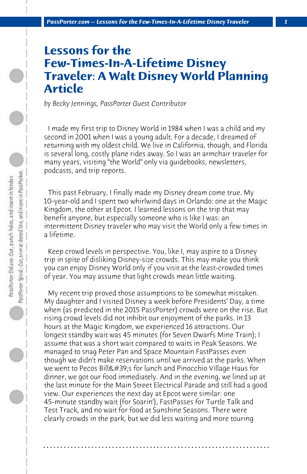## **Lessons for the Few-Times-In-A-Lifetime Disney Traveler: A Walt Disney World Planning Article**

*by Becky Jennings, PassPorter Guest Contributor*

 I made my first trip to Disney World in 1984 when I was a child and my second in 2001 when I was a young adult. For a decade, I dreamed of returning with my oldest child. We live in California, though, and Florida is several long, costly plane rides away. So I was an armchair traveler for many years, visiting "the World" only via guidebooks, newsletters, podcasts, and trip reports.

 This past February, I finally made my Disney dream come true. My 10-year-old and I spent two whirlwind days in Orlando: one at the Magic Kingdom, the other at Epcot. I learned lessons on the trip that may benefit anyone, but especially someone who is like I was: an intermittent Disney traveler who may visit the World only a few times in a lifetime.

 Keep crowd levels in perspective. You, like I, may aspire to a Disney trip in spite of disliking Disney-size crowds. This may make you think you can enjoy Disney World only if you visit at the least-crowded times of year. You may assume that light crowds mean little waiting.

 My recent trip proved those assumptions to be somewhat mistaken. My daughter and I visited Disney a week before Presidents' Day, a time when (as predicted in the 2015 PassPorter) crowds were on the rise. But rising crowd levels did not inhibit our enjoyment of the parks. In 13 hours at the Magic Kingdom, we experienced 16 attractions. Our longest standby wait was 45 minutes (for Seven Dwarfs Mine Train); I assume that was a short wait compared to waits in Peak Seasons. We managed to snag Peter Pan and Space Mountain FastPasses even though we didn't make reservations until we arrived at the parks. When we went to Pecos Bill&#39:s for lunch and Pinocchio Village Haus for dinner, we got our food immediately. And in the evening, we lined up at the last minute for the Main Street Electrical Parade and still had a good view. Our experiences the next day at Epcot were similar: one 45-minute standby wait (for Soarin'), FastPasses for Turtle Talk and Test Track, and no wait for food at Sunshine Seasons. There were clearly crowds in the park, but we did less waiting and more touring

**. . . . . . . . . . . . . . . . . . . . . . . . . . . . . . . . . . . . . . . . . . . . . . . . . . . . . . . . . . . . . . . . . .**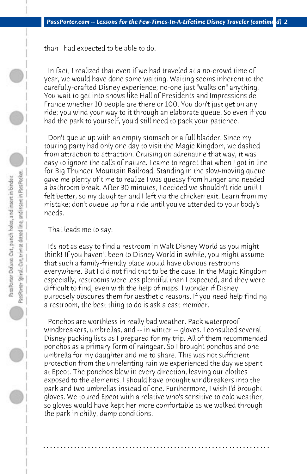than I had expected to be able to do.

 In fact, I realized that even if we had traveled at a no-crowd time of year, we would have done some waiting. Waiting seems inherent to the carefully-crafted Disney experience; no-one just "walks on" anything. You wait to get into shows like Hall of Presidents and Impressions de France whether 10 people are there or 100. You don't just get on any ride; you wind your way to it through an elaborate queue. So even if you had the park to yourself, you'd still need to pack your patience.

 Don't queue up with an empty stomach or a full bladder. Since my touring party had only one day to visit the Magic Kingdom, we dashed from attraction to attraction. Cruising on adrenaline that way, it was easy to ignore the calls of nature. I came to regret that when I got in line for Big Thunder Mountain Railroad. Standing in the slow-moving queue gave me plenty of time to realize I was queasy from hunger and needed a bathroom break. After 30 minutes, I decided we shouldn't ride until I felt better, so my daughter and I left via the chicken exit. Learn from my mistake; don't queue up for a ride until you've attended to your body's needs.

 That leads me to say:

 It's not as easy to find a restroom in Walt Disney World as you might think! If you haven't been to Disney World in awhile, you might assume that such a family-friendly place would have obvious restrooms everywhere. But I did not find that to be the case. In the Magic Kingdom especially, restrooms were less plentiful than I expected, and they were difficult to find, even with the help of maps. I wonder if Disney purposely obscures them for aesthetic reasons. If you need help finding a restroom, the best thing to do is ask a cast member.

 Ponchos are worthless in really bad weather. Pack waterproof windbreakers, umbrellas, and -- in winter -- gloves. I consulted several Disney packing lists as I prepared for my trip. All of them recommended ponchos as a primary form of raingear. So I brought ponchos and one umbrella for my daughter and me to share. This was not sufficient protection from the unrelenting rain we experienced the day we spent at Epcot. The ponchos blew in every direction, leaving our clothes exposed to the elements. I should have brought windbreakers into the park and two umbrellas instead of one. Furthermore, I wish I'd brought gloves. We toured Epcot with a relative who's sensitive to cold weather, so gloves would have kept her more comfortable as we walked through the park in chilly, damp conditions.

**. . . . . . . . . . . . . . . . . . . . . . . . . . . . . . . . . . . . . . . . . . . . . . . . . . . . . . . . . . . . . . . . . .**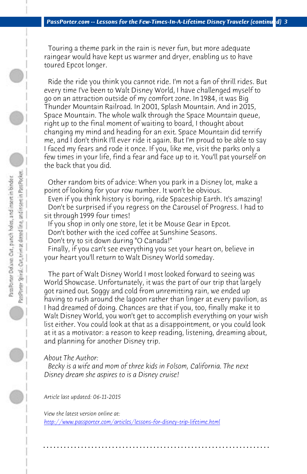*PassPorter.com -- Lessons for the Few-Times-In-A-Lifetime Disney Traveler (continued) 3*

 Touring a theme park in the rain is never fun, but more adequate raingear would have kept us warmer and dryer, enabling us to have toured Epcot longer.

 Ride the ride you think you cannot ride. I'm not a fan of thrill rides. But every time I've been to Walt Disney World, I have challenged myself to go on an attraction outside of my comfort zone. In 1984, it was Big Thunder Mountain Railroad. In 2001, Splash Mountain. And in 2015, Space Mountain. The whole walk through the Space Mountain queue, right up to the final moment of waiting to board, I thought about changing my mind and heading for an exit. Space Mountain did terrify me, and I don't think I'll ever ride it again. But I'm proud to be able to say I faced my fears and rode it once. If you, like me, visit the parks only a few times in your life, find a fear and face up to it. You'll pat yourself on the back that you did.

 Other random bits of advice: When you park in a Disney lot, make a point of looking for your row number. It won't be obvious.

 Even if you think history is boring, ride Spaceship Earth. It's amazing! Don't be surprised if you regress on the Carousel of Progress. I had to sit through 1999 four times!

 If you shop in only one store, let it be Mouse Gear in Epcot.

 Don't bother with the iced coffee at Sunshine Seasons.

 Don't try to sit down during "O Canada!"

 Finally, if you can't see everything you set your heart on, believe in your heart you'll return to Walt Disney World someday.

 The part of Walt Disney World I most looked forward to seeing was [World Showcase. Unfortunately, it was the part of our tri](http://www.passporter.com/articles/lessons-for-disney-trip-lifetime.php)p that largely got rained out. Soggy and cold from unremitting rain, we ended up having to rush around the lagoon rather than linger at every pavilion, as I had dreamed of doing. Chances are that if you, too, finally make it to Walt Disney World, you won't get to accomplish everything on your wish list either. You could look at that as a disappointment, or you could look at it as a motivator: a reason to keep reading, listening, dreaming about, and planning for another Disney trip.

## *About The Author:*

 *Becky is a wife and mom of three kids in Folsom, California. The next Disney dream she aspires to is a Disney cruise!* 

*Article last updated: 06-11-2015*

*View the latest version online at: http://www.passporter.com/articles/lessons-for-disney-trip-lifetime.html*